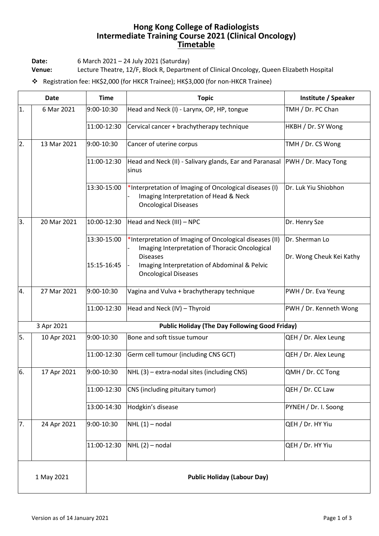## **Hong Kong College of Radiologists Intermediate Training Course 2021 (Clinical Oncology) Timetable**

**Date:** 6 March 2021 – 24 July 2021 (Saturday)

**Venue:** Lecture Theatre, 12/F, Block R, Department of Clinical Oncology, Queen Elizabeth Hospital

❖ Registration fee: HK\$2,000 (for HKCR Trainee); HK\$3,000 (for non-HKCR Trainee)

| <b>Date</b> |             | <b>Time</b>                                           | <b>Topic</b>                                                                                                                   | Institute / Speaker                        |  |
|-------------|-------------|-------------------------------------------------------|--------------------------------------------------------------------------------------------------------------------------------|--------------------------------------------|--|
| 1.          | 6 Mar 2021  | 9:00-10:30                                            | Head and Neck (I) - Larynx, OP, HP, tongue                                                                                     | TMH / Dr. PC Chan                          |  |
|             |             | 11:00-12:30                                           | Cervical cancer + brachytherapy technique                                                                                      | HKBH / Dr. SY Wong                         |  |
| 2.          | 13 Mar 2021 | 9:00-10:30                                            | Cancer of uterine corpus                                                                                                       | TMH / Dr. CS Wong                          |  |
|             |             | 11:00-12:30                                           | Head and Neck (II) - Salivary glands, Ear and Paranasal<br>sinus                                                               | <b>PWH</b> / Dr. Macy Tong                 |  |
|             |             | 13:30-15:00                                           | *Interpretation of Imaging of Oncological diseases (I)<br>Imaging Interpretation of Head & Neck<br><b>Oncological Diseases</b> | Dr. Luk Yiu Shiobhon                       |  |
| 3.          | 20 Mar 2021 | 10:00-12:30                                           | Head and Neck (III) - NPC                                                                                                      | Dr. Henry Sze                              |  |
|             |             | 13:30-15:00                                           | *Interpretation of Imaging of Oncological diseases (II)<br>Imaging Interpretation of Thoracic Oncological<br><b>Diseases</b>   | Dr. Sherman Lo<br>Dr. Wong Cheuk Kei Kathy |  |
|             |             | 15:15-16:45                                           | Imaging Interpretation of Abdominal & Pelvic<br><b>Oncological Diseases</b>                                                    |                                            |  |
| 4.          | 27 Mar 2021 | 9:00-10:30                                            | Vagina and Vulva + brachytherapy technique                                                                                     | PWH / Dr. Eva Yeung                        |  |
|             |             | 11:00-12:30                                           | Head and Neck (IV) - Thyroid                                                                                                   | PWH / Dr. Kenneth Wong                     |  |
| 3 Apr 2021  |             | <b>Public Holiday (The Day Following Good Friday)</b> |                                                                                                                                |                                            |  |
| 5.          | 10 Apr 2021 | 9:00-10:30                                            | Bone and soft tissue tumour                                                                                                    | QEH / Dr. Alex Leung                       |  |
|             |             | 11:00-12:30                                           | Germ cell tumour (including CNS GCT)                                                                                           | QEH / Dr. Alex Leung                       |  |
| 6.          | 17 Apr 2021 | 9:00-10:30                                            | NHL (3) - extra-nodal sites (including CNS)                                                                                    | QMH / Dr. CC Tong                          |  |
|             |             | 11:00-12:30                                           | CNS (including pituitary tumor)                                                                                                | QEH / Dr. CC Law                           |  |
|             |             | 13:00-14:30                                           | Hodgkin's disease                                                                                                              | PYNEH / Dr. I. Soong                       |  |
| 7.          | 24 Apr 2021 | 9:00-10:30                                            | $NHL(1)$ – nodal                                                                                                               | QEH / Dr. HY Yiu                           |  |
|             |             | 11:00-12:30                                           | $NHL(2)$ – nodal                                                                                                               | QEH / Dr. HY Yiu                           |  |
| 1 May 2021  |             | <b>Public Holiday (Labour Day)</b>                    |                                                                                                                                |                                            |  |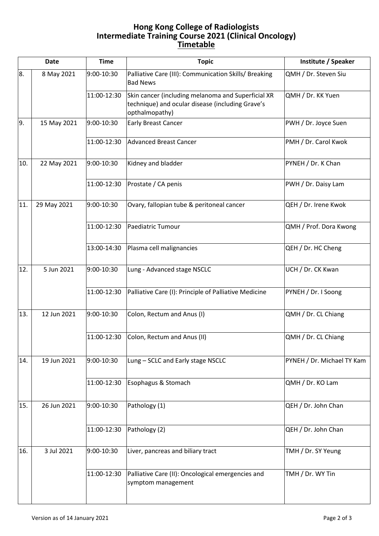## **Hong Kong College of Radiologists Intermediate Training Course 2021 (Clinical Oncology) Timetable**

| <b>Date</b> |             | <b>Time</b> | <b>Topic</b>                                                                                                             | Institute / Speaker        |
|-------------|-------------|-------------|--------------------------------------------------------------------------------------------------------------------------|----------------------------|
| 8.          | 8 May 2021  | 9:00-10:30  | Palliative Care (III): Communication Skills/ Breaking<br><b>Bad News</b>                                                 | QMH / Dr. Steven Siu       |
|             |             | 11:00-12:30 | Skin cancer (including melanoma and Superficial XR<br>technique) and ocular disease (including Grave's<br>opthalmopathy) | QMH / Dr. KK Yuen          |
| 9.          | 15 May 2021 | 9:00-10:30  | <b>Early Breast Cancer</b>                                                                                               | PWH / Dr. Joyce Suen       |
|             |             | 11:00-12:30 | <b>Advanced Breast Cancer</b>                                                                                            | PMH / Dr. Carol Kwok       |
| 10.         | 22 May 2021 | 9:00-10:30  | Kidney and bladder                                                                                                       | PYNEH / Dr. K Chan         |
|             |             | 11:00-12:30 | Prostate / CA penis                                                                                                      | PWH / Dr. Daisy Lam        |
| 11.         | 29 May 2021 | 9:00-10:30  | Ovary, fallopian tube & peritoneal cancer                                                                                | QEH / Dr. Irene Kwok       |
|             |             | 11:00-12:30 | Paediatric Tumour                                                                                                        | QMH / Prof. Dora Kwong     |
|             |             | 13:00-14:30 | Plasma cell malignancies                                                                                                 | QEH / Dr. HC Cheng         |
| 12.         | 5 Jun 2021  | 9:00-10:30  | Lung - Advanced stage NSCLC                                                                                              | UCH / Dr. CK Kwan          |
|             |             | 11:00-12:30 | Palliative Care (I): Principle of Palliative Medicine                                                                    | PYNEH / Dr. I Soong        |
| 13.         | 12 Jun 2021 | 9:00-10:30  | Colon, Rectum and Anus (I)                                                                                               | QMH / Dr. CL Chiang        |
|             |             | 11:00-12:30 | Colon, Rectum and Anus (II)                                                                                              | QMH / Dr. CL Chiang        |
| 14.         | 19 Jun 2021 | 9:00-10:30  | Lung - SCLC and Early stage NSCLC                                                                                        | PYNEH / Dr. Michael TY Kam |
|             |             | 11:00-12:30 | Esophagus & Stomach                                                                                                      | QMH / Dr. KO Lam           |
| 15.         | 26 Jun 2021 | 9:00-10:30  | Pathology (1)                                                                                                            | QEH / Dr. John Chan        |
|             |             | 11:00-12:30 | Pathology (2)                                                                                                            | QEH / Dr. John Chan        |
| 16.         | 3 Jul 2021  | 9:00-10:30  | Liver, pancreas and biliary tract                                                                                        | TMH / Dr. SY Yeung         |
|             |             | 11:00-12:30 | Palliative Care (II): Oncological emergencies and<br>symptom management                                                  | TMH / Dr. WY Tin           |